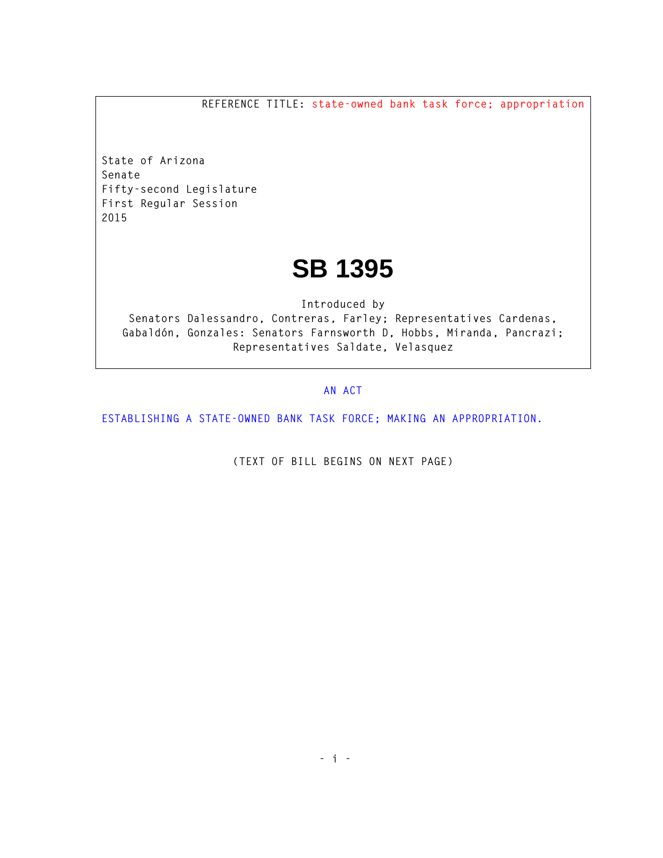**REFERENCE TITLE: state-owned bank task force; appropriation**

**State of Arizona Senate Fifty-second Legislature First Regular Session 2015** 

## **SB 1395**

**Introduced by Senators Dalessandro, Contreras, Farley; Representatives Cardenas, Gabaldón, Gonzales: Senators Farnsworth D, Hobbs, Miranda, Pancrazi; Representatives Saldate, Velasquez** 

## **AN ACT**

**ESTABLISHING A STATE-OWNED BANK TASK FORCE; MAKING AN APPROPRIATION.** 

**(TEXT OF BILL BEGINS ON NEXT PAGE)**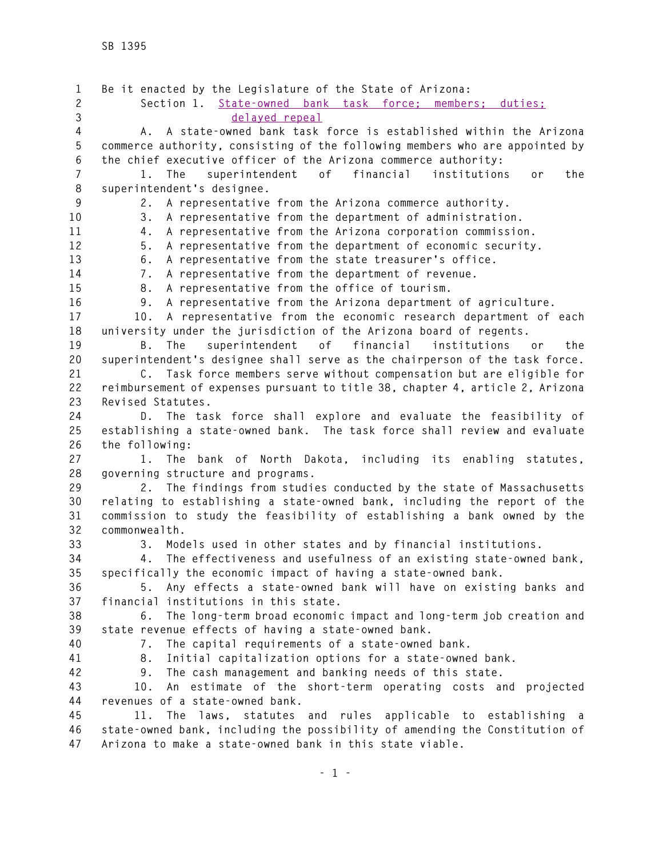**1 Be it enacted by the Legislature of the State of Arizona: 2 Section 1. State-owned bank task force; members; duties; 3 delayed repeal 4 A. A state-owned bank task force is established within the Arizona 5 commerce authority, consisting of the following members who are appointed by 6 the chief executive officer of the Arizona commerce authority: 7 1. The superintendent of financial institutions or the 8 superintendent's designee. 9 2. A representative from the Arizona commerce authority. 10 3. A representative from the department of administration. 11 4. A representative from the Arizona corporation commission. 12 5. A representative from the department of economic security. 13 6. A representative from the state treasurer's office. 14 7. A representative from the department of revenue. 15 8. A representative from the office of tourism. 16 9. A representative from the Arizona department of agriculture. 17 10. A representative from the economic research department of each 18 university under the jurisdiction of the Arizona board of regents. 19 B. The superintendent of financial institutions or the 20 superintendent's designee shall serve as the chairperson of the task force. 21 C. Task force members serve without compensation but are eligible for 22 reimbursement of expenses pursuant to title 38, chapter 4, article 2, Arizona 23 Revised Statutes. 24 D. The task force shall explore and evaluate the feasibility of 25 establishing a state-owned bank. The task force shall review and evaluate 26 the following: 27 1. The bank of North Dakota, including its enabling statutes, 28 governing structure and programs. 29 2. The findings from studies conducted by the state of Massachusetts 30 relating to establishing a state-owned bank, including the report of the 31 commission to study the feasibility of establishing a bank owned by the 32 commonwealth. 33 3. Models used in other states and by financial institutions. 34 4. The effectiveness and usefulness of an existing state-owned bank, 35 specifically the economic impact of having a state-owned bank. 36 5. Any effects a state-owned bank will have on existing banks and 37 financial institutions in this state. 38 6. The long-term broad economic impact and long-term job creation and 39 state revenue effects of having a state-owned bank. 40 7. The capital requirements of a state-owned bank. 41 8. Initial capitalization options for a state-owned bank. 42 9. The cash management and banking needs of this state. 43 10. An estimate of the short-term operating costs and projected 44 revenues of a state-owned bank. 45 11. The laws, statutes and rules applicable to establishing a 46 state-owned bank, including the possibility of amending the Constitution of 47 Arizona to make a state-owned bank in this state viable.**